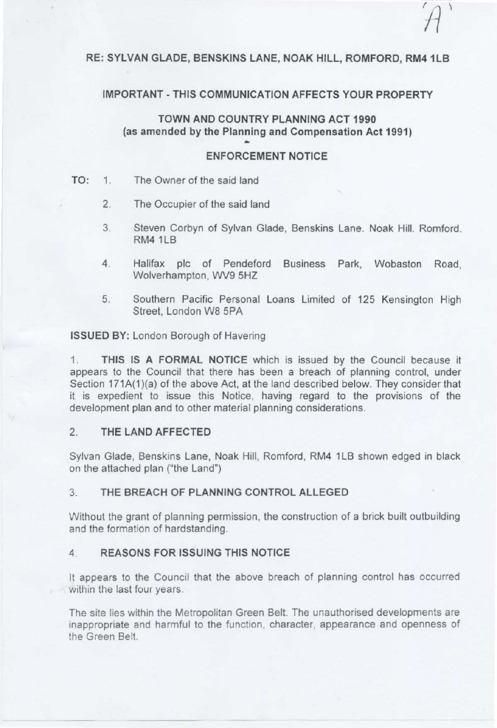# RE: SYLVAN GLADE, BENSKINS LANE, NOAK HILL, ROMFORD, RM4 1LB

#### **IMPORTANT-THIS COMMUNICATION AFFECTS YOUR PROPERTY**

**TOWN AND COUNTRY PLANNING ACT 1990**  {as amended by the Planning and Compensation **Act 1991)** 

#### **ENFORCEMENT NOTICE**

- TO: 1. The Owner of the said land
	- 2. The Occupier of the said land
	- 3. Steven Corbyn of Sylvan Glade, Benskins Lane. Noak Hill. Romford. RM41LB
	- 4. Halifax pie of Pendeford Business Park, Wobaston Road, Wolverhampton, WV9 5HZ
	- 5. Southern Pacific Personal Loans Limited of 125 Kensington High Street. London WB 5PA

**ISSUED BY:** London Borough of Havering

1. **THIS IS A FORMAL NOTICE** which is issued by the Council because it appears to the Council that there has been a breach of planning control, under Section 171A(1)(a) of the above Act, at the land described below. They consider that it is expedient to issue this Notice, having regard to the provisions of the development plan and to other material planning considerations.

#### 2. **THE LAND AFFECTED**

Sylvan Glade, Benskins Lane, Noak Hill, Romford, RM4 1LB shown edged in black on the attached plan ("the Land")

#### 3. **THE BREACH OF PLANNING CONTROL ALLEGED**

Without the grant of planning permission, the construction of a brick built outbuilding and the formation of hardstanding.

#### 4. **REASONS FOR ISSUING THIS NOTICE**

It appears to the Council that the above breach of planning control has occurred within the last four years.

The site lies within the Metropolitan Green Belt. The unauthorised developments are inappropriate and harmful to the function, character, appearance and openness of the Green Belt.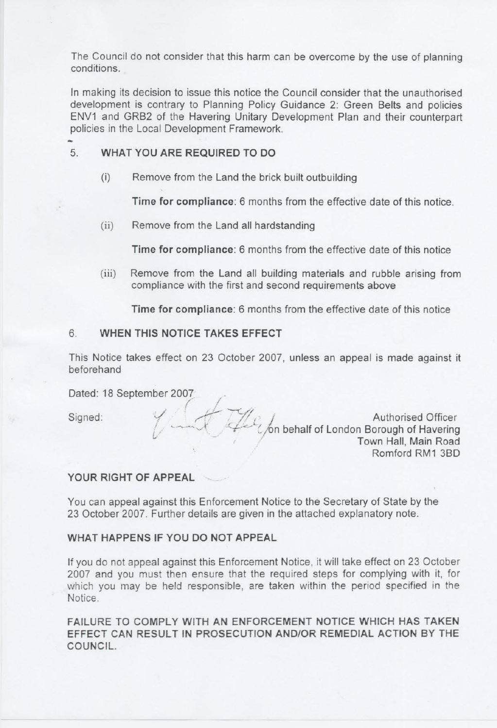The Council do not consider that this harm can be overcome by the use of planning conditions.

In making its decision to issue this notice the Council consider that the unauthorised development is contrary to Planning Policy Guidance 2: Green Belts and policies ENV1 and GRB2 of the Havering Unitary Development Plan and their counterpart policies in the Local Development Framework. ..

# 5. **WHAT YOU ARE REQUIRED TO DO**

(i) Remove from the Land the brick built outbuilding

**Time for compliance:** 6 months from the effective date of this notice.

(ii) Remove from the Land all hardstanding

*r* ·

/

**Time for compliance:** 6 months from the effective date of this notice

(iii) Remove from the Land all building materials and rubble arising from compliance with the first and second requirements above

**Time for compliance:** 6 months from the effective date of this notice

# 6. **WHEN THIS NOTICE TAKES EFFECT**

This Notice takes effect on 23 October 2007, unless an appeal is made against it beforehand

Dated: 18 September 2007 /

Signed:  $\frac{1}{2}$  ..., Authorised Officer L, and the U on behalf of London Borough of Havering Town Hall, Main Road Romford RM1 38D

# **YOUR RIGHT OF APPEAL**

You can appeal against this Enforcement Notice to the Secretary of State by the 23 October 2007. Further details are given in the attached explanatory note.

# **WHAT HAPPENS IF YOU DO NOT APPEAL**

If you do not appeal against this Enforcement Notice, it will take effect on 23 October 2007 and you must then ensure that the required steps for complying with it, for which you may be held responsible, are taken within the period specified in the Notice.

**FAILURE TO COMPLY WITH AN ENFORCEMENT NOTICE WHICH HAS TAKEN EFFECT CAN RESULT IN PROSECUTION AND/OR REMEDIAL ACTION BY THE COUNCIL.**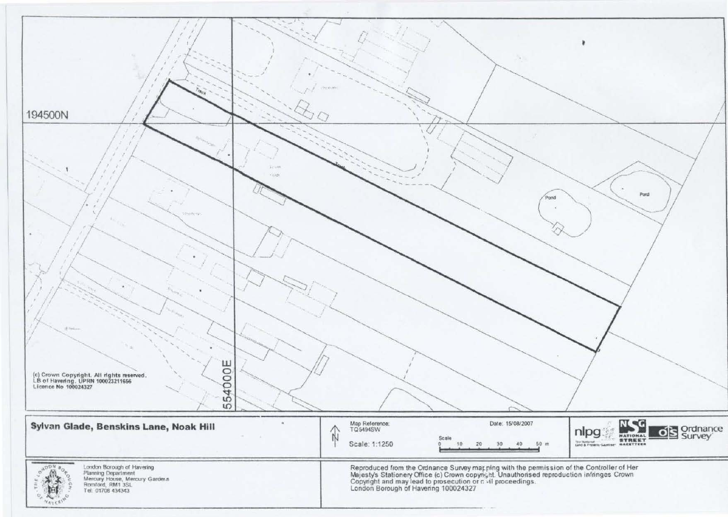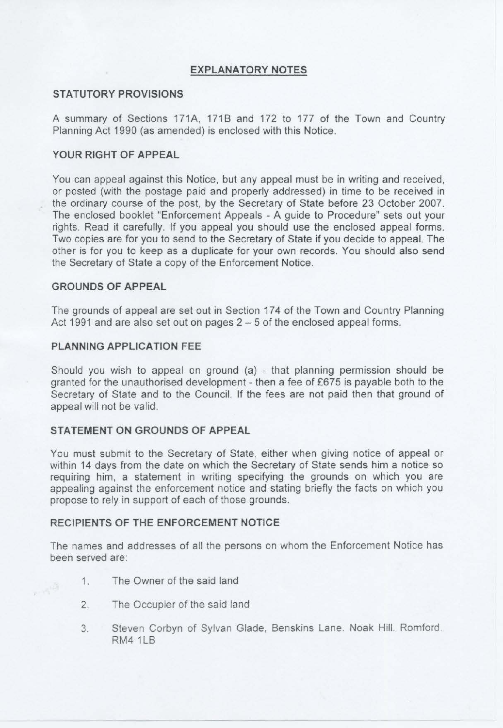# **EXPLANATORY NOTES**

#### **STATUTORY PROVISIONS**

A summary of Sections 171A, 171B and 172 to 177 of the Town and Country Planning Act 1990 (as amended) is enclosed with this Notice.

## **YOUR RIGHT OF APPEAL**

You can appeal against this Notice, but any appeal must be in writing and received, or posted (with the postage paid and properly addressed) in time to be received in the ordinary course of the post, by the Secretary of State before 23 October 2007. The enclosed booklet "Enforcement Appeals - A guide to Procedure" sets out your rights. Read it carefully. If you appeal you should use the enclosed appeal forms. Two copies are for you to send to the Secretary of State if you decide to appeal. The other is for you to keep as a duplicate for your own records. You should also send the Secretary of State a copy of the Enforcement Notice.

#### **GROUNDS OF APPEAL**

The grounds of appeal are set out in Section 174 of the Town and Country Planning Act 1991 and are also set out on pages  $2 - 5$  of the enclosed appeal forms.

### **PLANNING APPLICATION FEE**

Should you wish to appeal on ground  $(a)$  - that planning permission should be granted for the unauthorised development - then a fee of £675 is payable both to the Secretary of State and to the Council. If the fees are not paid then that ground of appeal will not be valid.

# **STATEMENT ON GROUNDS OF APPEAL**

You must submit to the Secretary of State, either when giving notice of appeal or within 14 days from the date on which the Secretary of State sends him a notice so requiring him, a statement in writing specifying the grounds on which you are appealing against the enforcement notice and stating briefly the facts on which you propose to rely in support of each of those grounds.

#### **RECIPIENTS OF THE ENFORCEMENT NOTICE**

The names and addresses of all the persons on whom the Enforcement Notice has been served are:

1. The Owner of the said land

 $\sim 10$ 

- 2. The Occupier of the said land
- 3. Steven Corbyn of Sylvan Glade, Benskins Lane. Noak Hill. Romford. RM41LB